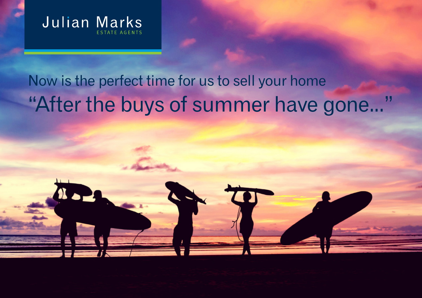

## Now is the perfect time for us to sell your home "After the buys of summer have gone..."